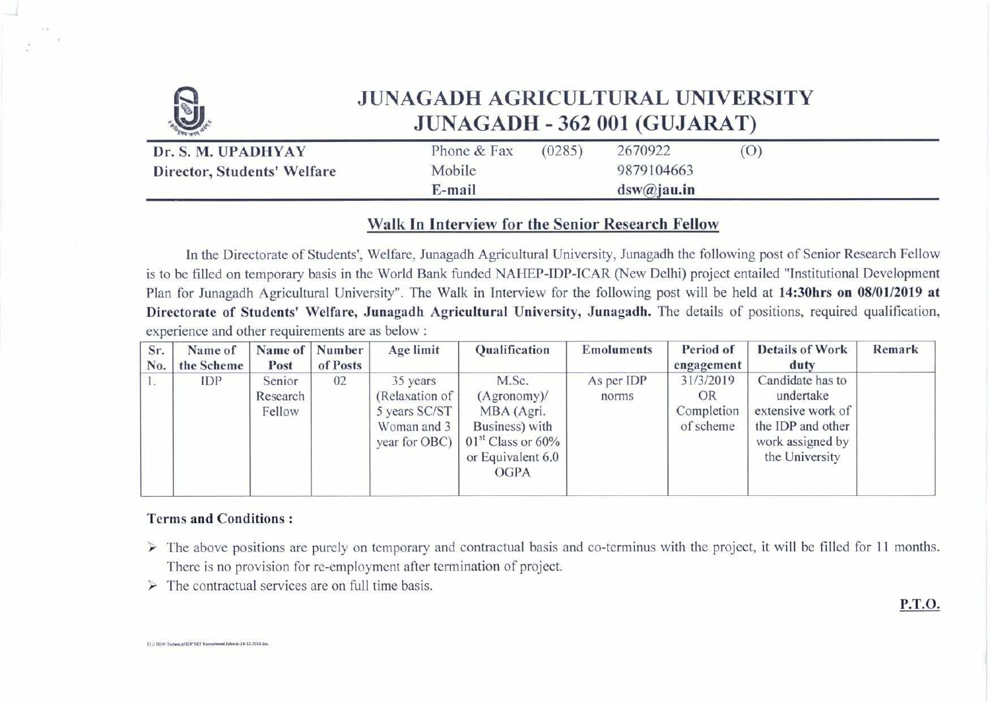

# **JUNAGADH AGRICULTURAL UNIVERSITY JUNAGADH - 362 001 (GUJARAT)**

| Dr. S. M. UPADHYAY          | Phone & Fax | (0285) | 2670922    | $\rm (O)$ |
|-----------------------------|-------------|--------|------------|-----------|
| Director, Students' Welfare | Mobile      |        | 9879104663 |           |
|                             | E-mail      |        | dsw@jau.in |           |

# **Walk In Interview for the Senior Research Fellow**

**In the Directorate of Students', Welfare, Junagadh Agricultural University, Junagadh the following post of Senior Research Fellow is to be filled on temporary basis in the World Bank funded NAHEP-IDP-ICAR (New Delhi) project entailed "Institutional Development Plan for Junagadh Agricultural University". The Walk in Interview for the following post will be held at 14:30hrs on 08/01/2019 at Directorate of Students' Welfare, Junagadh Agricultural University, Junagadh. The details of positions, required qualification, experience and other requirements are as below :** 

| Sr.<br>No. | Name of<br>the Scheme | Name of<br>Post              | Number<br>of Posts | Age limit                                                                   | Qualification                                                                                                  | <b>Emoluments</b>   | Period of<br>engagement                    | <b>Details of Work</b><br>duty                                                                                | Remark |
|------------|-----------------------|------------------------------|--------------------|-----------------------------------------------------------------------------|----------------------------------------------------------------------------------------------------------------|---------------------|--------------------------------------------|---------------------------------------------------------------------------------------------------------------|--------|
| Ι.         | IDP                   | Senior<br>Research<br>Fellow | 02                 | 35 years<br>(Relaxation of<br>5 years SC/ST<br>Woman and 3<br>year for OBC) | M.Sc.<br>(Agronomy)<br>MBA (Agri.<br>Business) with<br>$01st$ Class or 60%<br>or Equivalent 6.0<br><b>OGPA</b> | As per IDP<br>norms | 31/3/2019<br>OR<br>Completion<br>of scheme | Candidate has to<br>undertake<br>extensive work of<br>the IDP and other<br>work assigned by<br>the University |        |

## **Terms and Conditions :**

**1).3 USWIealtricultIOP SRF RaensuatUalors.2412-2018/.** 

- **> The** above positions are purely on temporary and contractual basis and co-terminus with the project, it will be filled for **11** months. There is no provision for re-employment after termination of project.
- $\triangleright$  The contractual services are on full time basis.

**P.T.O.**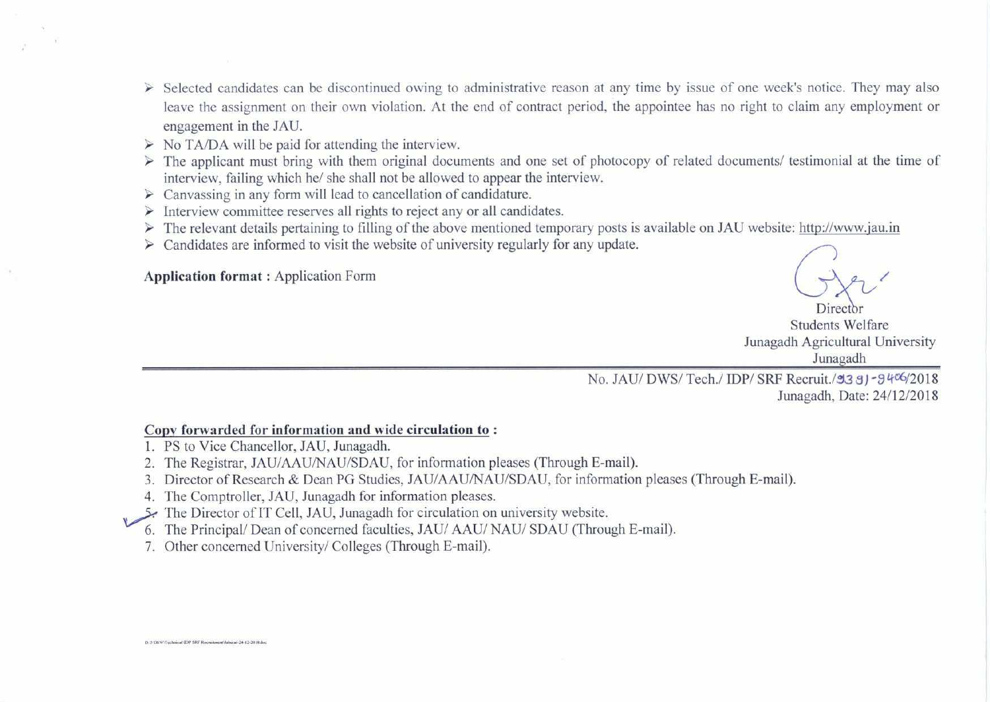- > Selected candidates can be discontinued owing to administrative reason at any time by issue of one week's notice. They may also leave the assignment on their own violation. At the end of contract period, the appointee has no right to claim any employment or engagement in the JAU.
- $\triangleright$  No TA/DA will be paid for attending the interview.
- ➢ The applicant must bring with them original documents and one set of photocopy of related documents/ testimonial at the time of interview, failing which he/ she shall not be allowed to appear the interview.
- $\triangleright$  Canvassing in any form will lead to cancellation of candidature.
- ➢ Interview committee reserves all rights to reject any or all candidates.
- > The relevant details pertaining to filling of the above mentioned temporary posts is available on JAU website: http://www.jau.in
- $\triangleright$  Candidates are informed to visit the website of university regularly for any update.

**Application format :** Application Form

Director Students Welfare Junagadh Agricultural University Junagadh

No. JAU/ DWS/ Tech./ IDP/ SRF Recruit./93 8J-9406/2018 Junagadh, Date: 24/12/2018

#### **Copy forwarded for information and wide circulation to :**

- 1. PS to Vice Chancellor, JAU, Junagadh.
- 2. The Registrar, JAU/AAU/NAU/SDAU, for information pleases (Through E-mail).
- 3. Director of Research & Dean PG Studies, JAU/AAU/NAU/SDAU, for information pleases (Through E-mail).
- 4. The Comptroller, JAU, Junagadh for information pleases.
- .51- The Director of IT Cell, JAU, Junagadh for circulation on university website.
- 6. The Principal/ Dean of concerned faculties, JAU/ AAU/ NAU/ SDAU (Through E-mail).
- 7. Other concerned University/ Colleges (Through E-mail).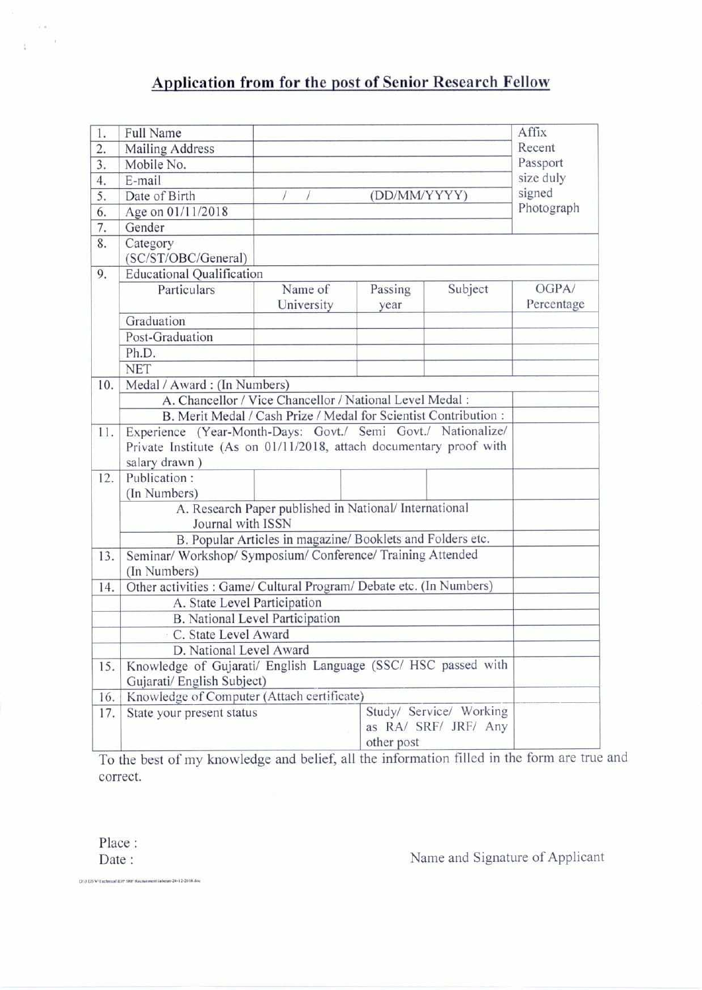# **Application from for the post of Senior Research Fellow**

| 1.               | Full Name                                                                                                                                           |                                                          |                 |         | Affix               |  |  |  |
|------------------|-----------------------------------------------------------------------------------------------------------------------------------------------------|----------------------------------------------------------|-----------------|---------|---------------------|--|--|--|
| $\overline{2}$ . | Mailing Address                                                                                                                                     |                                                          |                 |         | Recent              |  |  |  |
| $\overline{3}$ . | Mobile No.                                                                                                                                          |                                                          |                 |         | Passport            |  |  |  |
| 4.               | E-mail                                                                                                                                              |                                                          |                 |         | size duly           |  |  |  |
| 5.               | Date of Birth                                                                                                                                       |                                                          | (DD/MM/YYYY)    |         | signed              |  |  |  |
| 6.               | Age on 01/11/2018                                                                                                                                   |                                                          | Photograph      |         |                     |  |  |  |
| 7.               | Gender                                                                                                                                              |                                                          |                 |         |                     |  |  |  |
| 8.               | Category<br>(SC/ST/OBC/General)                                                                                                                     |                                                          |                 |         |                     |  |  |  |
| 9.               | <b>Educational Qualification</b>                                                                                                                    |                                                          |                 |         |                     |  |  |  |
|                  | Particulars                                                                                                                                         | Name of<br>University                                    | Passing<br>year | Subject | OGPA/<br>Percentage |  |  |  |
|                  | Graduation                                                                                                                                          |                                                          |                 |         |                     |  |  |  |
|                  | Post-Graduation                                                                                                                                     |                                                          |                 |         |                     |  |  |  |
|                  | Ph.D.                                                                                                                                               |                                                          |                 |         |                     |  |  |  |
|                  | <b>NET</b>                                                                                                                                          |                                                          |                 |         |                     |  |  |  |
| 10.              | Medal / Award: (In Numbers)                                                                                                                         |                                                          |                 |         |                     |  |  |  |
|                  |                                                                                                                                                     | A. Chancellor / Vice Chancellor / National Level Medal : |                 |         |                     |  |  |  |
|                  | B. Merit Medal / Cash Prize / Medal for Scientist Contribution :                                                                                    |                                                          |                 |         |                     |  |  |  |
| 11.              | Experience (Year-Month-Days: Govt./ Semi Govt./ Nationalize/<br>Private Institute (As on 01/11/2018, attach documentary proof with<br>salary drawn) |                                                          |                 |         |                     |  |  |  |
| 12.              | Publication:<br>(In Numbers)                                                                                                                        |                                                          |                 |         |                     |  |  |  |
|                  | A. Research Paper published in National/ International<br>Journal with ISSN                                                                         |                                                          |                 |         |                     |  |  |  |
|                  | B. Popular Articles in magazine/ Booklets and Folders etc.                                                                                          |                                                          |                 |         |                     |  |  |  |
| 13.              | Seminar/ Workshop/ Symposium/ Conference/ Training Attended<br>(In Numbers)                                                                         |                                                          |                 |         |                     |  |  |  |
| 14.              | Other activities : Game/ Cultural Program/ Debate etc. (In Numbers)                                                                                 |                                                          |                 |         |                     |  |  |  |
|                  | A. State Level Participation                                                                                                                        |                                                          |                 |         |                     |  |  |  |
|                  | <b>B.</b> National Level Participation                                                                                                              |                                                          |                 |         |                     |  |  |  |
|                  | C. State Level Award                                                                                                                                |                                                          |                 |         |                     |  |  |  |
|                  | D. National Level Award                                                                                                                             |                                                          |                 |         |                     |  |  |  |
| 15.              | Knowledge of Gujarati/ English Language (SSC/ HSC passed with<br>Gujarati/ English Subject)                                                         |                                                          |                 |         |                     |  |  |  |
| 16.              | Knowledge of Computer (Attach certificate)                                                                                                          |                                                          |                 |         |                     |  |  |  |
| 17.              | Study/ Service/ Working<br>State your present status<br>as RA/ SRF/ JRF/ Any<br>other post                                                          |                                                          |                 |         |                     |  |  |  |

To the best of my knowledge and belief, all the information filled in the form are true an correct.

Place :

 $\overline{\mathcal{A}}$  .  $\frac{1}{4}$ 

Date : Name and Signature of Applicant

**114 D6VAraellstiallW Itexnaincoll.I.M.24.12.20111 dog**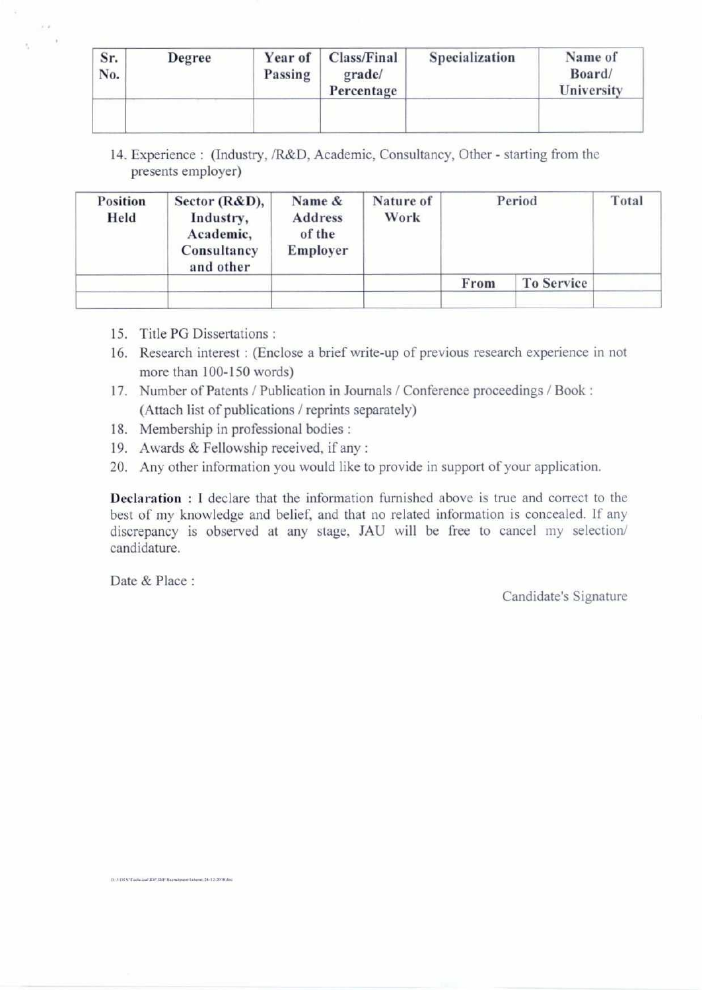| Sr.<br>No. | Degree | Year of<br>Passing | Class/Final<br>grade/<br>Percentage | Specialization | Name of<br>Board/<br>University |
|------------|--------|--------------------|-------------------------------------|----------------|---------------------------------|
|            |        |                    |                                     |                |                                 |

**14. Experience : (Industry, /R&D, Academic, Consultancy, Other - starting from the presents employer)** 

| Held | <b>Position</b> | Sector $(R&D)$ ,<br>Industry,<br>Academic,<br>Consultancy<br>and other | Name &<br>Address<br>of the<br>Employer | Nature of<br>Work |      | Period     | Total |
|------|-----------------|------------------------------------------------------------------------|-----------------------------------------|-------------------|------|------------|-------|
|      |                 |                                                                        |                                         |                   | From | To Service |       |
|      |                 |                                                                        |                                         |                   |      |            |       |

- **15. Title PG Dissertations :**
- **16. Research interest : (Enclose a brief write-up of previous research experience in not more than 100-150 words)**
- **17. Number of Patents / Publication in Journals / Conference proceedings / Book : (Attach list of publications / reprints separately)**
- **18. Membership in professional bodies :**
- **19. Awards & Fellowship received, if any :**
- **20. Any other information you would like to provide in support** of your application.

**Declaration : I declare that the information furnished above is true and correct to the best of my knowledge and belief, and that no related information is concealed. If any discrepancy is observed at any stage, JAU will be free to cancel my selection/ candidature.** 

Date & Place :

Candidate's Signature

IX0,108,WTachnicaPIDP SRF Reemitment1abport-24-12-201K do.